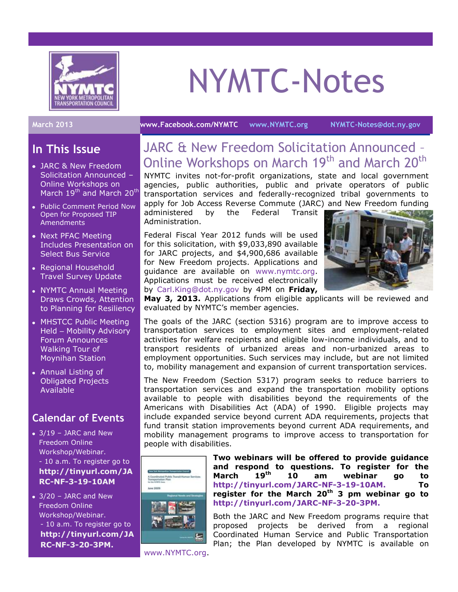

# NYMTC-Notes

#### **In This Issue**

- JARC & New Freedom Solicitation Announced – Online Workshops on March 19<sup>th</sup> and March 20<sup>th</sup>
- Public Comment Period Now Open for Proposed TIP Amendments
- Next PFAC Meeting Includes Presentation on Select Bus Service
- Regional Household Travel Survey Update
- NYMTC Annual Meeting Draws Crowds, Attention to Planning for Resiliency
- MHSTCC Public Meeting Held – Mobility Advisory Forum Announces Walking Tour of Moynihan Station
- Annual Listing of Obligated Projects Available

### **Calendar of Events**

- $\bullet$  3/19 JARC and New Freedom Online Workshop/Webinar. - 10 a.m. To register go to **[http://tinyurl.com/JA](http://tinyurl.com/JARC-NF-3-19-10AM) [RC-NF-3-19-10AM](http://tinyurl.com/JARC-NF-3-19-10AM)**
- $\bullet$  3/20 JARC and New Freedom Online Workshop/Webinar. - 10 a.m. To register go to **[http://tinyurl.com/JA](http://tinyurl.com/JARC-NF-3-20-3PM.) [RC-NF-3-20-3PM.](http://tinyurl.com/JARC-NF-3-20-3PM.)**

**March 2013 [www.Facebook.com/NYMTC](http://www.facebook.com/NYMTC) [www.NYMTC.org](http://www.nymtc.org/) [NYMTC-Notes@dot.ny.gov](mailto:NYMTC-Notes@dot.ny.gov)**

# JARC & New Freedom Solicitation Announced – Online Workshops on March 19<sup>th</sup> and March 20<sup>th</sup>

NYMTC invites not-for-profit organizations, state and local government agencies, public authorities, public and private operators of public transportation services and federally-recognized tribal governments to apply for [Job Access Reverse Commute \(JARC\)](http://www.nymtc.org/project/PTHSP/jarc5316.html) and [New Freedom](http://www.nymtc.org/project/PTHSP/freedom5317.html) funding

administered by the Federal Transit Administration.

Federal Fiscal Year 2012 funds will be used for this solicitation, with \$9,033,890 available for JARC projects, and \$4,900,686 available for New Freedom projects. Applications and guidance are available on [www.nymtc.org.](http://www.nymtc.org/) Applications must be received electronically by [Carl.King@dot.ny.gov](mailto:Carl.King@dot.ny.gov) by 4PM on **Friday,** 



**May 3, 2013.** Applications from eligible applicants will be reviewed and evaluated by NYMTC's member agencies.

The goals of the JARC (section 5316) program are to improve access to transportation services to employment sites and employment-related activities for welfare recipients and eligible low-income individuals, and to transport residents of urbanized areas and non-urbanized areas to employment opportunities. Such services may include, but are not limited to, mobility management and expansion of current transportation services.

The New Freedom (Section 5317) program seeks to reduce barriers to transportation services and expand the transportation mobility options available to people with disabilities beyond the requirements of the Americans with Disabilities Act (ADA) of 1990. Eligible projects may include expanded service beyond current ADA requirements, projects that fund transit station improvements beyond current ADA requirements, and mobility management programs to improve access to transportation for people with disabilities.



**Two webinars will be offered to provide guidance and respond to questions. To register for the March 19th 10 am webinar go to [http://tinyurl.com/JARC-NF-3-19-10AM.](http://tinyurl.com/JARC-NF-3-19-10AM) To register for the March 20th 3 pm webinar go to <http://tinyurl.com/JARC-NF-3-20-3PM.>**

Both the JARC and New Freedom programs require that proposed projects be derived from a regional Coordinated Human Service and Public Transportation Plan; the Plan developed by NYMTC is available on

[www.NYMTC.org.](http://www.nymtc.org/)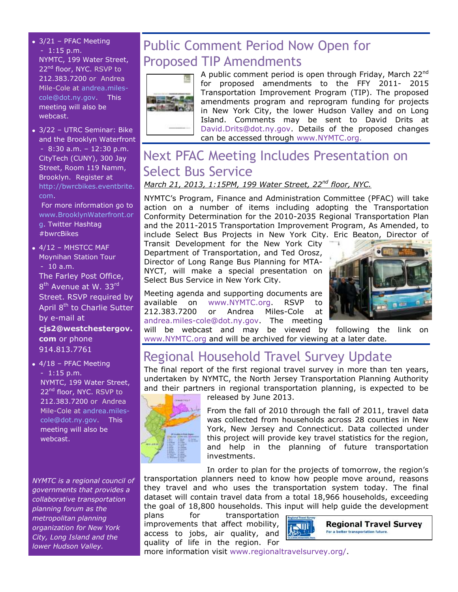- 3/21 PFAC Meeting  $-1:15$  p.m. NYMTC, 199 Water Street, 22<sup>nd</sup> floor, NYC. RSVP to 212.383.7200 or Andrea Mile-Cole at [andrea.miles](mailto:andrea.miles-cole@dot.ny.gov)[cole@dot.ny.gov.](mailto:andrea.miles-cole@dot.ny.gov) This meeting will also be webcast.
- 3/22 UTRC Seminar: Bike and the Brooklyn Waterfront - 8:30 a.m. – 12:30 p.m. CityTech (CUNY), 300 Jay Street, Room 119 Namm, Brooklyn. Register at [http://bwrcbikes.eventbrite.](http://bwrcbikes.eventbrite.com/) [com.](http://bwrcbikes.eventbrite.com/)

For more information go to [www.BrooklynWaterfront.or](http://www.brooklynwaterfront.org/) [g.](http://www.brooklynwaterfront.org/) Twitter Hashtag #bwrcBikes

 $\bullet$  4/12 - MHSTCC MAF Moynihan Station Tour - 10 a.m.

The Farley Post Office, 8<sup>th</sup> Avenue at W. 33<sup>rd</sup> Street. RSVP required by April 8<sup>th</sup> to Charlie Sutter by e-mail at

**[cjs2@westchestergov.](mailto:cjs2@westchestergov.com) [com](mailto:cjs2@westchestergov.com)** or phone 914.813.7761

 $\bullet$  4/18 - PFAC Meeting - 1:15 p.m. NYMTC, 199 Water Street, 22<sup>nd</sup> floor, NYC. RSVP to 212.383.7200 or Andrea Mile-Cole at [andrea.miles](mailto:andrea.miles-cole@dot.ny.gov)[cole@dot.ny.gov.](mailto:andrea.miles-cole@dot.ny.gov) This meeting will also be webcast.

*NYMTC is a regional council of governments that provides a collaborative transportation planning forum as the metropolitan planning organization for New York City, Long Island and the lower Hudson Valley.*

# Public Comment Period Now Open for Proposed TIP Amendments



A public comment period is open through Friday, March 22<sup>nd</sup> for proposed amendments to the FFY 2011- 2015 Transportation Improvement Program (TIP). The proposed amendments program and reprogram funding for projects in New York City, the lower Hudson Valley and on Long Island. Comments may be sent to David Drits at [David.Drits@dot.ny.gov.](mailto:David.Drits@dot.ny.gov) Details of the proposed changes can be accessed through [www.NYMTC.org.](http://www.nymtc.org/)

# Next PFAC Meeting Includes Presentation on Select Bus Service

#### *March 21, 2013, 1:15PM, 199 Water Street, 22nd floor, NYC.*

NYMTC's Program, Finance and Administration Committee (PFAC) will take action on a number of items including adopting the Transportation Conformity Determination for the 2010-2035 Regional Transportation Plan and the 2011-2015 Transportation Improvement Program, As Amended, to include Select Bus Projects in New York City. Eric Beaton, Director of

Transit Development for the New York City Department of Transportation, and Ted Orosz, Director of Long Range Bus Planning for MTA-NYCT, will make a special presentation on Select Bus Service in New York City.

Meeting agenda and supporting documents are available on [www.NYMTC.org.](http://www.nymtc.org/) RSVP to 212.383.7200 or Andrea Miles-Cole at [andrea.miles-cole@dot.ny.gov.](mailto:andrea.miles-cole@dot.ny.gov) The meeting



will be webcast and may be viewed by following the link on [www.NYMTC.org](http://www.nymtc.org/) and will be archived for viewing at a later date.

# Regional Household Travel Survey Update

The final report of the first regional travel survey in more than ten years, undertaken by NYMTC, the North Jersey Transportation Planning Authority and their partners in regional transportation planning, is expected to be



released by June 2013.

From the fall of 2010 through the fall of 2011, travel data was collected from households across 28 counties in New York, New Jersey and Connecticut. Data collected under this project will provide key travel statistics for the region, and help in the planning of future transportation investments.

In order to plan for the projects of tomorrow, the region's transportation planners need to know how people move around, reasons they travel and who uses the transportation system today. The final dataset will contain travel data from a total 18,966 households, exceeding the goal of 18,800 households. This input will help guide the development

plans for transportation improvements that affect mobility, access to jobs, air quality, and quality of life in the region. For



more information visit [www.regionaltravelsurvey.org/.](http://www.regionaltravelsurvey.org/)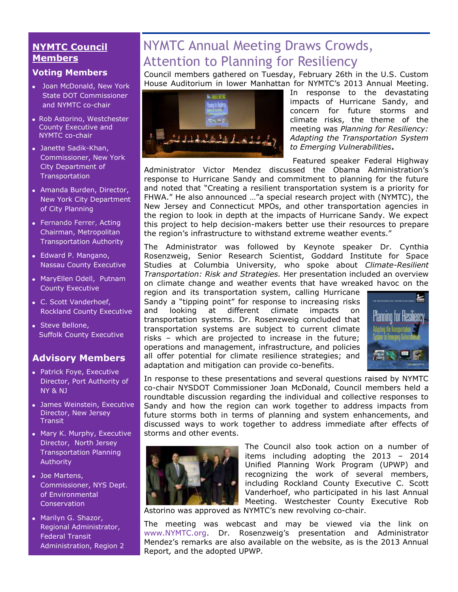#### **NYMTC Council Members**

#### **Voting Members**

- Joan McDonald, New York State DOT Commissioner and NYMTC co-chair
- Rob Astorino, Westchester County Executive and NYMTC co-chair
- Janette Sadik-Khan, Commissioner, New York City Department of **Transportation**
- Amanda Burden, Director, New York City Department of City Planning
- [Fernando Ferrer,](http://www.mta.info/mta/leadership/ferrer.htm) Acting Chairman, Metropolitan Transportation Authority
- Edward P. Mangano, Nassau County Executive
- MaryEllen Odell, Putnam County Executive
- C. Scott Vanderhoef, Rockland County Executive
- Steve Bellone, Suffolk County Executive

#### **Advisory Members**

- Patrick Foye, Executive Director, Port Authority of NY & NJ
- James Weinstein, Executive Director, New Jersey **Transit**
- Mary K. Murphy, Executive Director, North Jersey Transportation Planning Authority
- Joe Martens, Commissioner, NYS Dept. of Environmental **Conservation**
- Marilyn G. Shazor, Regional Administrator, Federal Transit Administration, Region 2

# NYMTC Annual Meeting Draws Crowds, Attention to Planning for Resiliency

Council members gathered on Tuesday, February 26th in the U.S. Custom House Auditorium in lower Manhattan for NYMTC's 2013 Annual Meeting.



In response to the devastating impacts of Hurricane Sandy, and concern for future storms and climate risks, the theme of the meeting was *Planning for Resiliency: Adapting the Transportation System to Emerging Vulnerabilities***.**

Featured speaker Federal Highway

Administrator Victor Mendez discussed the Obama Administration's response to Hurricane Sandy and commitment to planning for the future and noted that "Creating a resilient transportation system is a priority for FHWA." He also announced …"a special research project with (NYMTC), the New Jersey and Connecticut MPOs, and other transportation agencies in the region to look in depth at the impacts of Hurricane Sandy. We expect this project to help decision-makers better use their resources to prepare the region's infrastructure to withstand extreme weather events."

The Administrator was followed by Keynote speaker Dr. Cynthia Rosenzweig, Senior Research Scientist, Goddard Institute for Space Studies at Columbia University*,* who spoke about *Climate-Resilient Transportation: Risk and Strategies.* Her presentation included an overview on climate change and weather events that have wreaked havoc on the

region and its transportation system, calling Hurricane Sandy a "tipping point" for response to increasing risks and looking at different climate impacts on transportation systems. Dr. Rosenzweig concluded that transportation systems are subject to current climate risks – which are projected to increase in the future; operations and management, infrastructure, and policies all offer potential for climate resilience strategies; and adaptation and mitigation can provide co-benefits.



In response to these presentations and several questions raised by NYMTC co-chair NYSDOT Commissioner Joan McDonald, Council members held a roundtable discussion regarding the individual and collective responses to Sandy and how the region can work together to address impacts from future storms both in terms of planning and system enhancements, and discussed ways to work together to address immediate after effects of storms and other events.



The Council also took action on a number of items including adopting the 2013 – 2014 Unified Planning Work Program (UPWP) and recognizing the work of several members, including Rockland County Executive C. Scott Vanderhoef, who participated in his last Annual Meeting. Westchester County Executive Rob

Astorino was approved as NYMTC's new revolving co-chair.

The meeting was webcast and may be viewed via the link on [www.NYMTC.org](http://www.nymtc.org/). Dr. Rosenzweig's presentation and Administrator Mendez's remarks are also available on the website, as is the 2013 Annual Report*,* and the adopted UPWP*.*